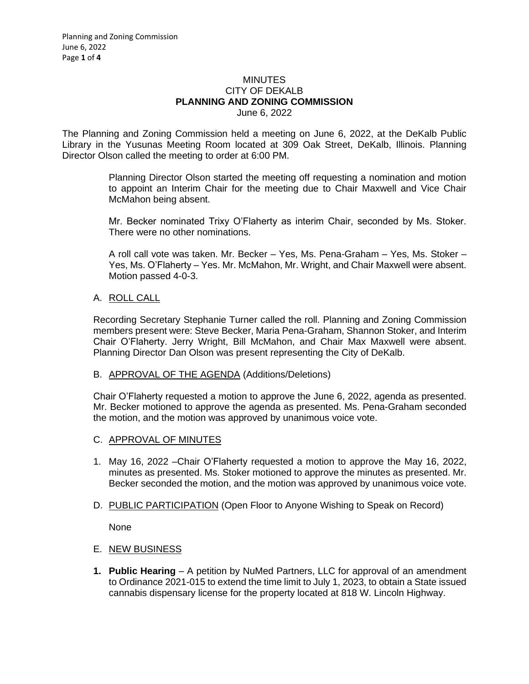#### MINUTES CITY OF DEKALB **PLANNING AND ZONING COMMISSION** June 6, 2022

The Planning and Zoning Commission held a meeting on June 6, 2022, at the DeKalb Public Library in the Yusunas Meeting Room located at 309 Oak Street, DeKalb, Illinois. Planning Director Olson called the meeting to order at 6:00 PM.

> Planning Director Olson started the meeting off requesting a nomination and motion to appoint an Interim Chair for the meeting due to Chair Maxwell and Vice Chair McMahon being absent.

> Mr. Becker nominated Trixy O'Flaherty as interim Chair, seconded by Ms. Stoker. There were no other nominations.

> A roll call vote was taken. Mr. Becker – Yes, Ms. Pena-Graham – Yes, Ms. Stoker – Yes, Ms. O'Flaherty – Yes. Mr. McMahon, Mr. Wright, and Chair Maxwell were absent. Motion passed 4-0-3.

### A. ROLL CALL

Recording Secretary Stephanie Turner called the roll. Planning and Zoning Commission members present were: Steve Becker, Maria Pena-Graham, Shannon Stoker, and Interim Chair O'Flaherty. Jerry Wright, Bill McMahon, and Chair Max Maxwell were absent. Planning Director Dan Olson was present representing the City of DeKalb.

### B. APPROVAL OF THE AGENDA (Additions/Deletions)

Chair O'Flaherty requested a motion to approve the June 6, 2022, agenda as presented. Mr. Becker motioned to approve the agenda as presented. Ms. Pena-Graham seconded the motion, and the motion was approved by unanimous voice vote.

- C. APPROVAL OF MINUTES
- 1. May 16, 2022 –Chair O'Flaherty requested a motion to approve the May 16, 2022, minutes as presented. Ms. Stoker motioned to approve the minutes as presented. Mr. Becker seconded the motion, and the motion was approved by unanimous voice vote.
- D. PUBLIC PARTICIPATION (Open Floor to Anyone Wishing to Speak on Record)

None

- E. NEW BUSINESS
- **1. Public Hearing** A petition by NuMed Partners, LLC for approval of an amendment to Ordinance 2021-015 to extend the time limit to July 1, 2023, to obtain a State issued cannabis dispensary license for the property located at 818 W. Lincoln Highway.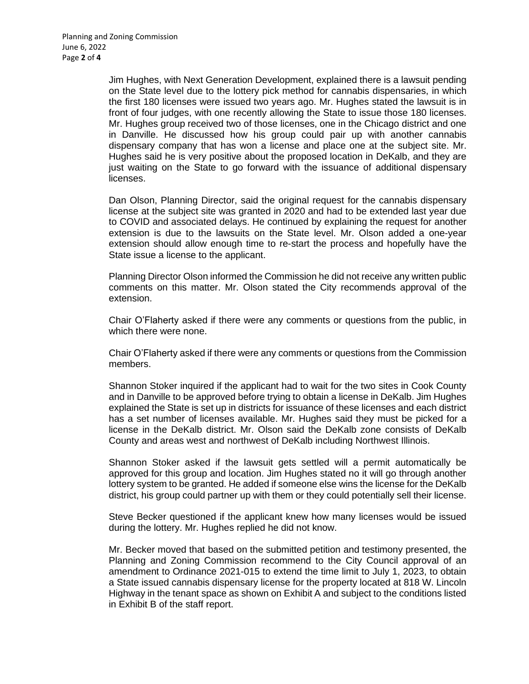Jim Hughes, with Next Generation Development, explained there is a lawsuit pending on the State level due to the lottery pick method for cannabis dispensaries, in which the first 180 licenses were issued two years ago. Mr. Hughes stated the lawsuit is in front of four judges, with one recently allowing the State to issue those 180 licenses. Mr. Hughes group received two of those licenses, one in the Chicago district and one in Danville. He discussed how his group could pair up with another cannabis dispensary company that has won a license and place one at the subject site. Mr. Hughes said he is very positive about the proposed location in DeKalb, and they are just waiting on the State to go forward with the issuance of additional dispensary licenses.

Dan Olson, Planning Director, said the original request for the cannabis dispensary license at the subject site was granted in 2020 and had to be extended last year due to COVID and associated delays. He continued by explaining the request for another extension is due to the lawsuits on the State level. Mr. Olson added a one-year extension should allow enough time to re-start the process and hopefully have the State issue a license to the applicant.

Planning Director Olson informed the Commission he did not receive any written public comments on this matter. Mr. Olson stated the City recommends approval of the extension.

Chair O'Flaherty asked if there were any comments or questions from the public, in which there were none.

Chair O'Flaherty asked if there were any comments or questions from the Commission members.

Shannon Stoker inquired if the applicant had to wait for the two sites in Cook County and in Danville to be approved before trying to obtain a license in DeKalb. Jim Hughes explained the State is set up in districts for issuance of these licenses and each district has a set number of licenses available. Mr. Hughes said they must be picked for a license in the DeKalb district. Mr. Olson said the DeKalb zone consists of DeKalb County and areas west and northwest of DeKalb including Northwest Illinois.

Shannon Stoker asked if the lawsuit gets settled will a permit automatically be approved for this group and location. Jim Hughes stated no it will go through another lottery system to be granted. He added if someone else wins the license for the DeKalb district, his group could partner up with them or they could potentially sell their license.

Steve Becker questioned if the applicant knew how many licenses would be issued during the lottery. Mr. Hughes replied he did not know.

Mr. Becker moved that based on the submitted petition and testimony presented, the Planning and Zoning Commission recommend to the City Council approval of an amendment to Ordinance 2021-015 to extend the time limit to July 1, 2023, to obtain a State issued cannabis dispensary license for the property located at 818 W. Lincoln Highway in the tenant space as shown on Exhibit A and subject to the conditions listed in Exhibit B of the staff report.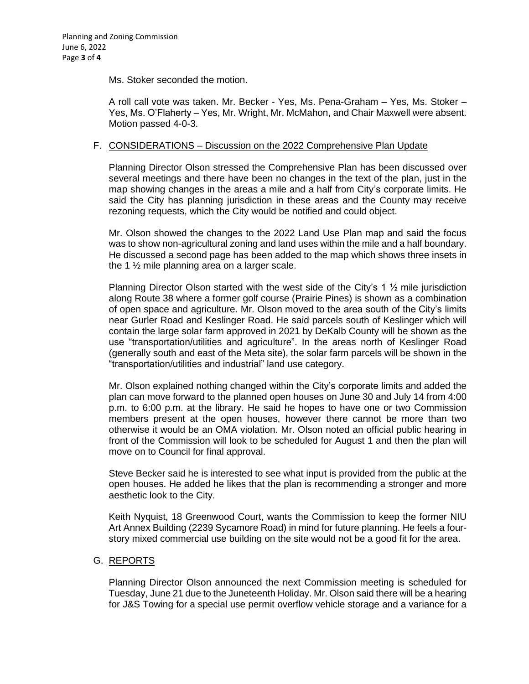Ms. Stoker seconded the motion.

A roll call vote was taken. Mr. Becker - Yes, Ms. Pena-Graham – Yes, Ms. Stoker – Yes, Ms. O'Flaherty – Yes, Mr. Wright, Mr. McMahon, and Chair Maxwell were absent. Motion passed 4-0-3.

# F. CONSIDERATIONS – Discussion on the 2022 Comprehensive Plan Update

Planning Director Olson stressed the Comprehensive Plan has been discussed over several meetings and there have been no changes in the text of the plan, just in the map showing changes in the areas a mile and a half from City's corporate limits. He said the City has planning jurisdiction in these areas and the County may receive rezoning requests, which the City would be notified and could object.

Mr. Olson showed the changes to the 2022 Land Use Plan map and said the focus was to show non-agricultural zoning and land uses within the mile and a half boundary. He discussed a second page has been added to the map which shows three insets in the 1 ½ mile planning area on a larger scale.

Planning Director Olson started with the west side of the City's 1  $\frac{1}{2}$  mile jurisdiction along Route 38 where a former golf course (Prairie Pines) is shown as a combination of open space and agriculture. Mr. Olson moved to the area south of the City's limits near Gurler Road and Keslinger Road. He said parcels south of Keslinger which will contain the large solar farm approved in 2021 by DeKalb County will be shown as the use "transportation/utilities and agriculture". In the areas north of Keslinger Road (generally south and east of the Meta site), the solar farm parcels will be shown in the "transportation/utilities and industrial" land use category.

Mr. Olson explained nothing changed within the City's corporate limits and added the plan can move forward to the planned open houses on June 30 and July 14 from 4:00 p.m. to 6:00 p.m. at the library. He said he hopes to have one or two Commission members present at the open houses, however there cannot be more than two otherwise it would be an OMA violation. Mr. Olson noted an official public hearing in front of the Commission will look to be scheduled for August 1 and then the plan will move on to Council for final approval.

Steve Becker said he is interested to see what input is provided from the public at the open houses. He added he likes that the plan is recommending a stronger and more aesthetic look to the City.

Keith Nyquist, 18 Greenwood Court, wants the Commission to keep the former NIU Art Annex Building (2239 Sycamore Road) in mind for future planning. He feels a fourstory mixed commercial use building on the site would not be a good fit for the area.

### G. REPORTS

Planning Director Olson announced the next Commission meeting is scheduled for Tuesday, June 21 due to the Juneteenth Holiday. Mr. Olson said there will be a hearing for J&S Towing for a special use permit overflow vehicle storage and a variance for a